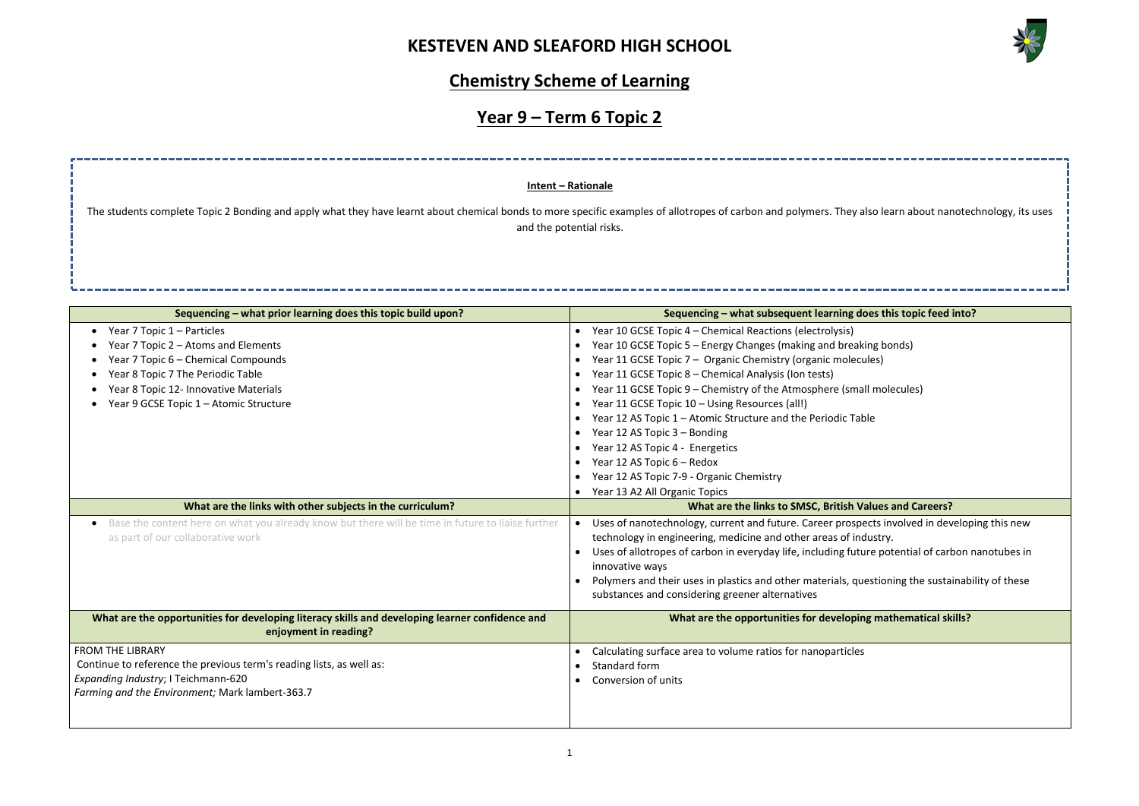

| also learn about nanotechnology, its uses       |
|-------------------------------------------------|
| --------                                        |
| oes this topic feed into?                       |
| cing bonds)<br>ules)                            |
| all molecules)                                  |
| ble                                             |
|                                                 |
|                                                 |
| alues and Careers?                              |
| ects involved in developing this new<br>dustry. |
| ure potential of carbon nanotubes in            |
| iestioning the sustainability of these          |
| ng mathematical skills?                         |
| 5                                               |
|                                                 |
|                                                 |
|                                                 |

# **Chemistry Scheme of Learning**

# **Year 9 – Term 6 Topic 2**

| Sequencing - what prior learning does this topic build upon?                                                   | Sequencing - what subsequent learning does this topic feed into?                                 |
|----------------------------------------------------------------------------------------------------------------|--------------------------------------------------------------------------------------------------|
| Year 7 Topic 1 - Particles                                                                                     | Year 10 GCSE Topic 4 - Chemical Reactions (electrolysis)                                         |
| Year 7 Topic 2 - Atoms and Elements                                                                            | Year 10 GCSE Topic 5 - Energy Changes (making and breaking bonds)                                |
| Year 7 Topic 6 - Chemical Compounds                                                                            | Year 11 GCSE Topic 7 - Organic Chemistry (organic molecules)                                     |
| Year 8 Topic 7 The Periodic Table                                                                              | Year 11 GCSE Topic 8 - Chemical Analysis (Ion tests)<br>$\bullet$                                |
| Year 8 Topic 12- Innovative Materials                                                                          | Year 11 GCSE Topic 9 – Chemistry of the Atmosphere (small molecules)                             |
| Year 9 GCSE Topic 1 - Atomic Structure                                                                         | Year 11 GCSE Topic 10 - Using Resources (all!)                                                   |
|                                                                                                                | Year 12 AS Topic 1 - Atomic Structure and the Periodic Table                                     |
|                                                                                                                | Year 12 AS Topic 3 - Bonding                                                                     |
|                                                                                                                | Year 12 AS Topic 4 - Energetics<br>$\bullet$                                                     |
|                                                                                                                | Year 12 AS Topic 6 - Redox                                                                       |
|                                                                                                                | Year 12 AS Topic 7-9 - Organic Chemistry                                                         |
|                                                                                                                | Year 13 A2 All Organic Topics                                                                    |
| What are the links with other subjects in the curriculum?                                                      | What are the links to SMSC, British Values and Careers?                                          |
| Base the content here on what you already know but there will be time in future to liaise further<br>$\bullet$ | Uses of nanotechnology, current and future. Career prospects involved in developing this new     |
| as part of our collaborative work                                                                              | technology in engineering, medicine and other areas of industry.                                 |
|                                                                                                                | Uses of allotropes of carbon in everyday life, including future potential of carbon nanotubes in |
|                                                                                                                | innovative ways                                                                                  |
|                                                                                                                | Polymers and their uses in plastics and other materials, questioning the sustainability of these |
|                                                                                                                | substances and considering greener alternatives                                                  |
| What are the opportunities for developing literacy skills and developing learner confidence and                | What are the opportunities for developing mathematical skills?                                   |
| enjoyment in reading?                                                                                          |                                                                                                  |
| <b>FROM THE LIBRARY</b>                                                                                        | Calculating surface area to volume ratios for nanoparticles                                      |
| Continue to reference the previous term's reading lists, as well as:                                           | Standard form                                                                                    |
| Expanding Industry; I Teichmann-620                                                                            | Conversion of units                                                                              |
| Farming and the Environment; Mark lambert-363.7                                                                |                                                                                                  |
|                                                                                                                |                                                                                                  |
|                                                                                                                |                                                                                                  |

The students complete Topic 2 Bonding and apply what they have learnt about chemical bonds to more specific examples of allotropes of carbon and polymers. They al and the potential risks.

### **Intent – Rationale**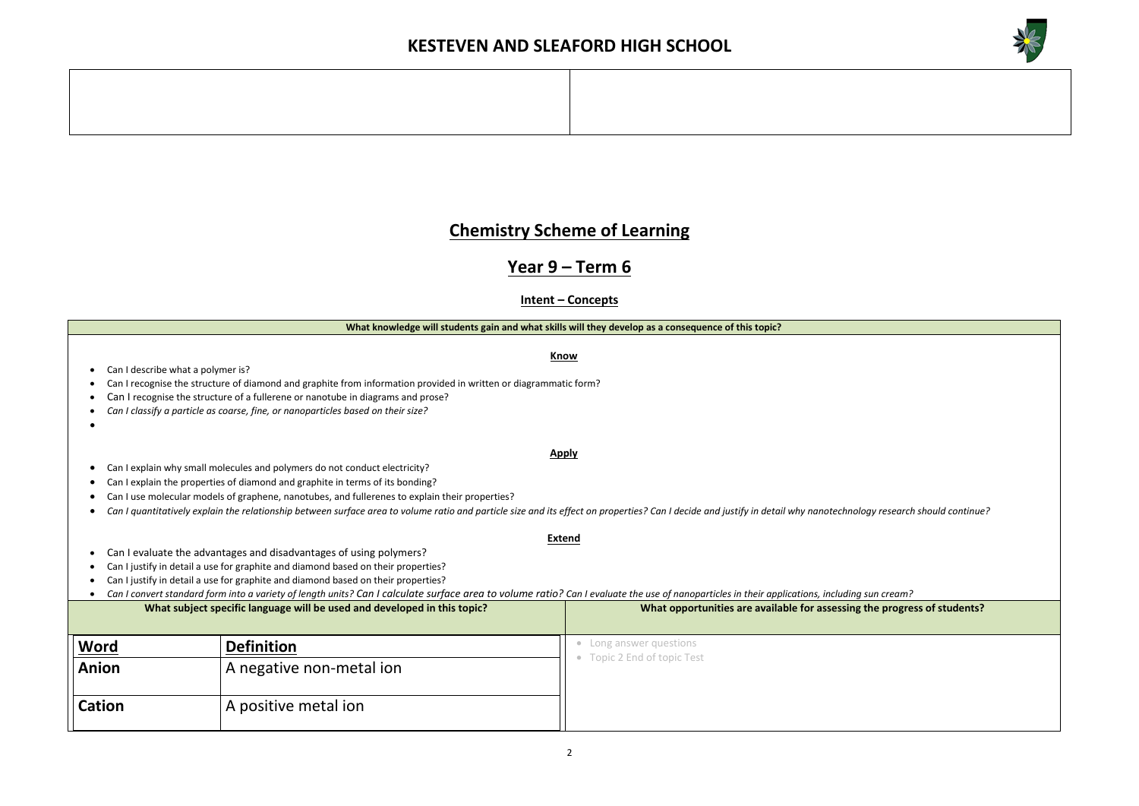2

## **Chemistry Scheme of Learning**

## **Year 9 – Term 6**

## **Intent – Concepts**

#### **What knowledge will students gain and what skills will they develop as a consequence of this topic?**

**Know**

• Can I describe what a polymer is?

### • Can I recognise the structure of diamond and graphite from information provided in written or diagrammatic form?

**Apply**

- Can I recognise the structure of a fullerene or nanotube in diagrams and prose?
- *Can I classify a particle as coarse, fine, or nanoparticles based on their size?*
- •
- Can I explain why small molecules and polymers do not conduct electricity?
- Can I explain the properties of diamond and graphite in terms of its bonding?
- Can I use molecular models of graphene, nanotubes, and fullerenes to explain their properties?
- *Can I quantitatively explain the relationship between surface area to volume ratio and particle size and its effect on properties? Can I decide and justify in detail why nanotechnology research should continue?*
- Can I evaluate the advantages and disadvantages of using polymers?
- Can I justify in detail a use for graphite and diamond based on their properties?
- Can I justify in detail a use for graphite and diamond based on their properties?

## **Extend**



**The progress of students?** 

|                             |                                                                          | Can I convert standard form into a variety of length units? Can I calculate surface area to volume ratio? Can I evaluate the use of nanoparticles in their applications, including sun cream? |
|-----------------------------|--------------------------------------------------------------------------|-----------------------------------------------------------------------------------------------------------------------------------------------------------------------------------------------|
|                             | What subject specific language will be used and developed in this topic? | What opportunities are available for assessing the progre                                                                                                                                     |
| <u>Word</u><br><b>Anion</b> | <b>Definition</b><br>A negative non-metal ion                            | Long answer questions<br>Topic 2 End of topic Test                                                                                                                                            |
| <b>Cation</b>               | A positive metal ion                                                     |                                                                                                                                                                                               |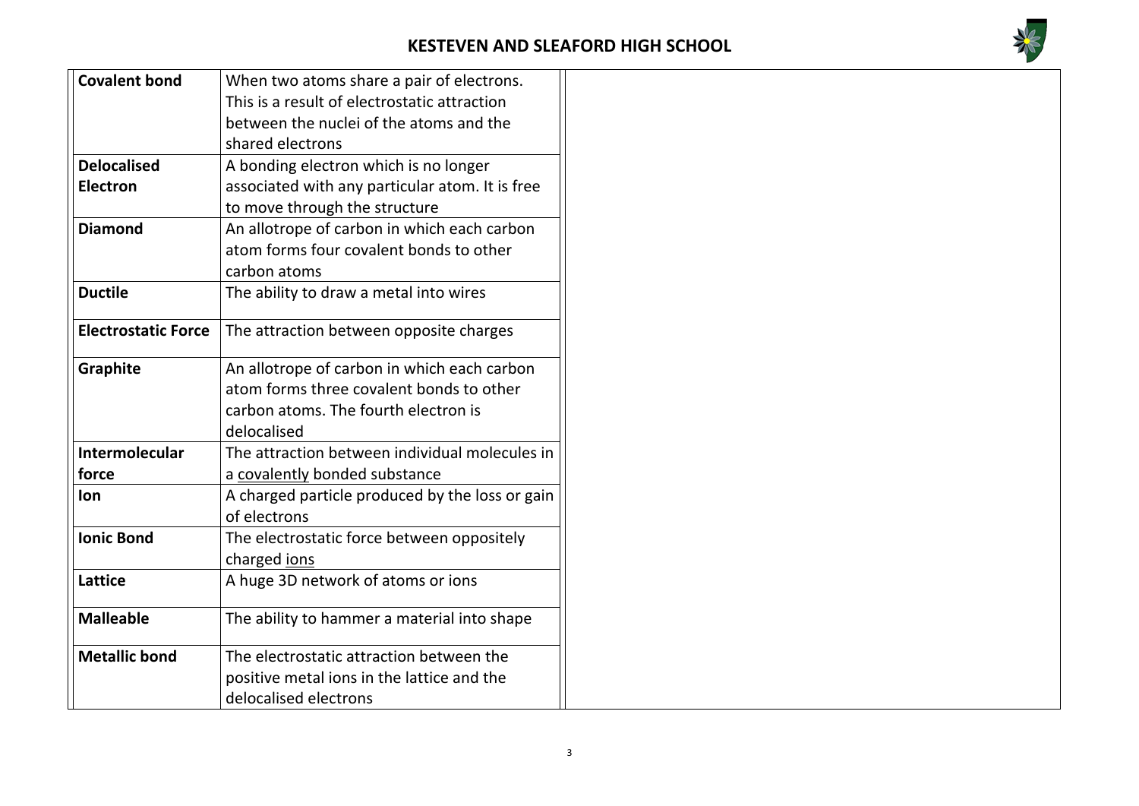

| <b>Covalent bond</b>       | When two atoms share a pair of electrons.                       |
|----------------------------|-----------------------------------------------------------------|
|                            | This is a result of electrostatic attraction                    |
|                            | between the nuclei of the atoms and the                         |
|                            | shared electrons                                                |
| <b>Delocalised</b>         | A bonding electron which is no longer                           |
| <b>Electron</b>            | associated with any particular atom. It is free                 |
|                            | to move through the structure                                   |
| <b>Diamond</b>             | An allotrope of carbon in which each carbon                     |
|                            | atom forms four covalent bonds to other                         |
|                            | carbon atoms                                                    |
| <b>Ductile</b>             | The ability to draw a metal into wires                          |
| <b>Electrostatic Force</b> | The attraction between opposite charges                         |
|                            |                                                                 |
| <b>Graphite</b>            | An allotrope of carbon in which each carbon                     |
|                            | atom forms three covalent bonds to other                        |
|                            | carbon atoms. The fourth electron is                            |
|                            | delocalised                                                     |
| Intermolecular             | The attraction between individual molecules in                  |
| force                      | a covalently bonded substance                                   |
| <b>Ion</b>                 | A charged particle produced by the loss or gain<br>of electrons |
| <b>Ionic Bond</b>          | The electrostatic force between oppositely                      |
|                            | charged jons                                                    |
| Lattice                    | A huge 3D network of atoms or ions                              |
| <b>Malleable</b>           | The ability to hammer a material into shape                     |
| <b>Metallic bond</b>       | The electrostatic attraction between the                        |
|                            | positive metal ions in the lattice and the                      |
|                            | delocalised electrons                                           |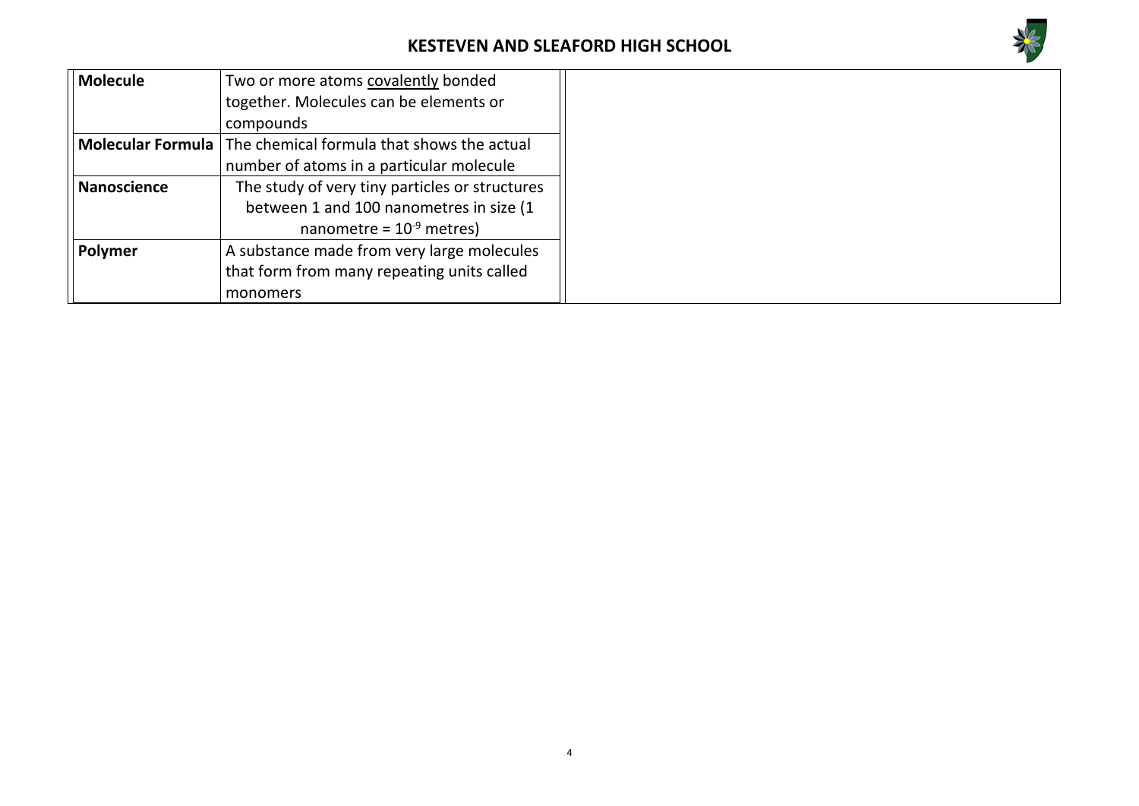

| <b>Molecule</b>          | Two or more atoms covalently bonded            |  |  |
|--------------------------|------------------------------------------------|--|--|
|                          | together. Molecules can be elements or         |  |  |
|                          | compounds                                      |  |  |
| <b>Molecular Formula</b> | The chemical formula that shows the actual     |  |  |
|                          | number of atoms in a particular molecule       |  |  |
| <b>Nanoscience</b>       | The study of very tiny particles or structures |  |  |
|                          | between 1 and 100 nanometres in size (1        |  |  |
|                          | nanometre = $10^{-9}$ metres)                  |  |  |
| <b>Polymer</b>           | A substance made from very large molecules     |  |  |
|                          | that form from many repeating units called     |  |  |
|                          | monomers                                       |  |  |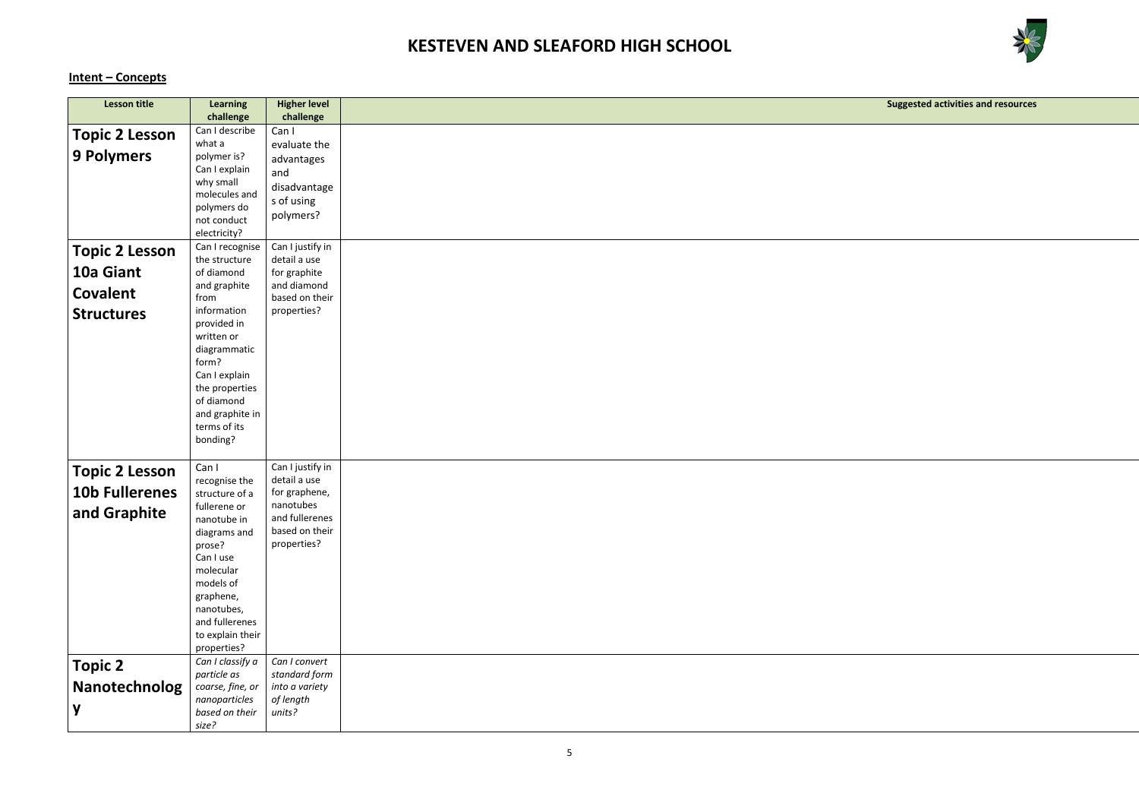

## **Intent – Concepts**

**Suggested activities and resources**

| <b>Lesson title</b>   |                              |                                  |  |
|-----------------------|------------------------------|----------------------------------|--|
|                       | <b>Learning</b><br>challenge | <b>Higher level</b><br>challenge |  |
|                       | Can I describe               | Can I                            |  |
| <b>Topic 2 Lesson</b> | what a                       | evaluate the                     |  |
| <b>9 Polymers</b>     | polymer is?                  |                                  |  |
|                       | Can I explain                | advantages                       |  |
|                       | why small                    | and                              |  |
|                       | molecules and                | disadvantage                     |  |
|                       | polymers do                  | s of using                       |  |
|                       | not conduct                  | polymers?                        |  |
|                       | electricity?                 |                                  |  |
| <b>Topic 2 Lesson</b> | Can I recognise              | Can I justify in                 |  |
|                       | the structure                | detail a use                     |  |
| 10a Giant             | of diamond                   | for graphite                     |  |
| <b>Covalent</b>       | and graphite                 | and diamond                      |  |
|                       | from                         | based on their                   |  |
| <b>Structures</b>     | information                  | properties?                      |  |
|                       | provided in                  |                                  |  |
|                       | written or                   |                                  |  |
|                       | diagrammatic<br>form?        |                                  |  |
|                       | Can I explain                |                                  |  |
|                       | the properties               |                                  |  |
|                       | of diamond                   |                                  |  |
|                       | and graphite in              |                                  |  |
|                       | terms of its                 |                                  |  |
|                       | bonding?                     |                                  |  |
|                       |                              |                                  |  |
| <b>Topic 2 Lesson</b> | Can I                        | Can I justify in                 |  |
|                       | recognise the                | detail a use                     |  |
| <b>10b Fullerenes</b> | structure of a               | for graphene,                    |  |
| and Graphite          | fullerene or                 | nanotubes                        |  |
|                       | nanotube in                  | and fullerenes                   |  |
|                       | diagrams and                 | based on their                   |  |
|                       | prose?                       | properties?                      |  |
|                       | Can I use                    |                                  |  |
|                       | molecular                    |                                  |  |
|                       | models of                    |                                  |  |
|                       | graphene,<br>nanotubes,      |                                  |  |
|                       | and fullerenes               |                                  |  |
|                       | to explain their             |                                  |  |
|                       | properties?                  |                                  |  |
|                       | Can I classify a             | Can I convert                    |  |
| <b>Topic 2</b>        | particle as                  | standard form                    |  |
| Nanotechnolog         | coarse, fine, or             | into a variety                   |  |
|                       | nanoparticles                | of length                        |  |
| y                     | based on their               | units?                           |  |
|                       | size?                        |                                  |  |